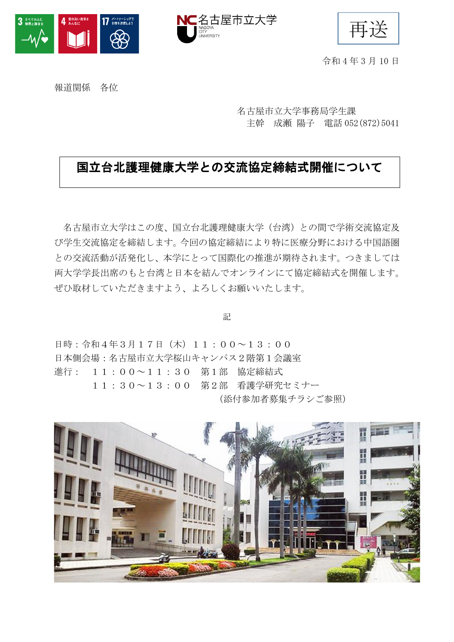



再送

令和 4 年 3 月 10 日

報道関係 各位

名古屋市立大学事務局学生課 主幹 成瀬 陽子 電話 052(872)5041

### 国立台北護理健康大学との交流協定締結式開催について

名古屋市立大学はこの度、国立台北護理健康大学(台湾)との間で学術交流協定及 び学生交流協定を締結します。今回の協定締結により特に医療分野における中国語圏 との交流活動が活発化し、本学にとって国際化の推進が期待されます。つきましては 両大学学長出席のもと台湾と日本を結んでオンラインにて協定締結式を開催します。 ぜひ取材していただきますよう、よろしくお願いいたします。

記

日時:令和4年3月17日(木)11:00~13:00 日本側会場:名古屋市立大学桜山キャンパス2階第1会議室 進行: 11:00~11:30 第1部 協定締結式 11:30~13:00 第2部 看護学研究セミナー (添付参加者募集チラシご参照)

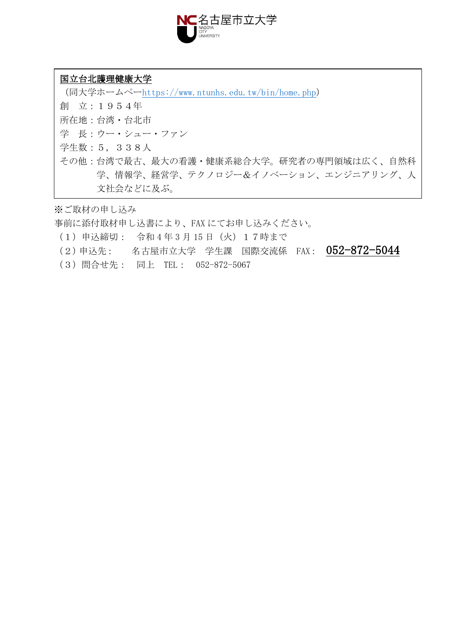

#### 国立台北護理健康大学

(同大学ホームペー<https://www.ntunhs.edu.tw/bin/home.php>) 創 立:1954年 所在地:台湾・台北市 学 長:ウー・シュー・ファン 学生数:5,338人 その他:台湾で最古、最大の看護・健康系総合大学。研究者の専門領域は広く、自然科 学、情報学、経営学、テクノロジー&イノベーション、エンジニアリング、人 文社会などに及ぶ。

※ご取材の申し込み

事前に添付取材申し込書により、FAX にてお申し込みください。

- (1)申込締切: 令和 4 年 3 月 15 日(火)17時まで
- (2)申込先: 名古屋市立大学 学生課 国際交流係 FAX: 052-872-5044
- (3)問合せ先: 同上 TEL: 052-872-5067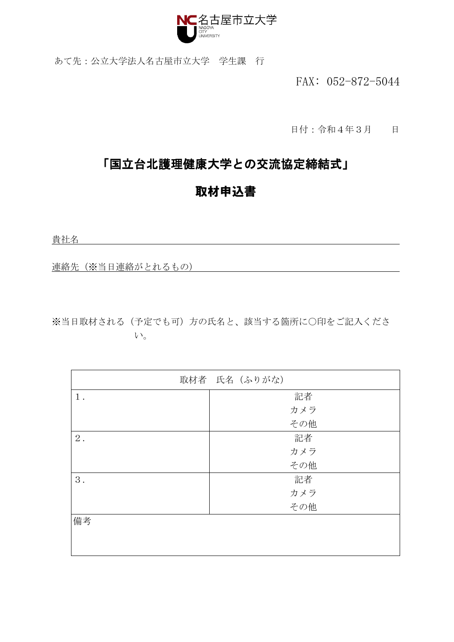

あて先:公立大学法人名古屋市立大学 学生課 行

FAX: 052-872-5044

日付:令和4年3月 日

### 「国立台北護理健康大学との交流協定締結式」

## 取材申込書

貴社名

連絡先(※当日連絡がとれるもの)

※当日取材される(予定でも可)方の氏名と、該当する箇所に○印をご記入くださ い。

|       | 取材者 氏名 (ふりがな) |  |
|-------|---------------|--|
| $1$ . | 記者            |  |
|       | カメラ           |  |
|       | その他           |  |
| $2$ . | 記者            |  |
|       | カメラ           |  |
|       | その他           |  |
| 3.    | 記者            |  |
|       | カメラ           |  |
|       | その他           |  |
| 備考    |               |  |
|       |               |  |
|       |               |  |